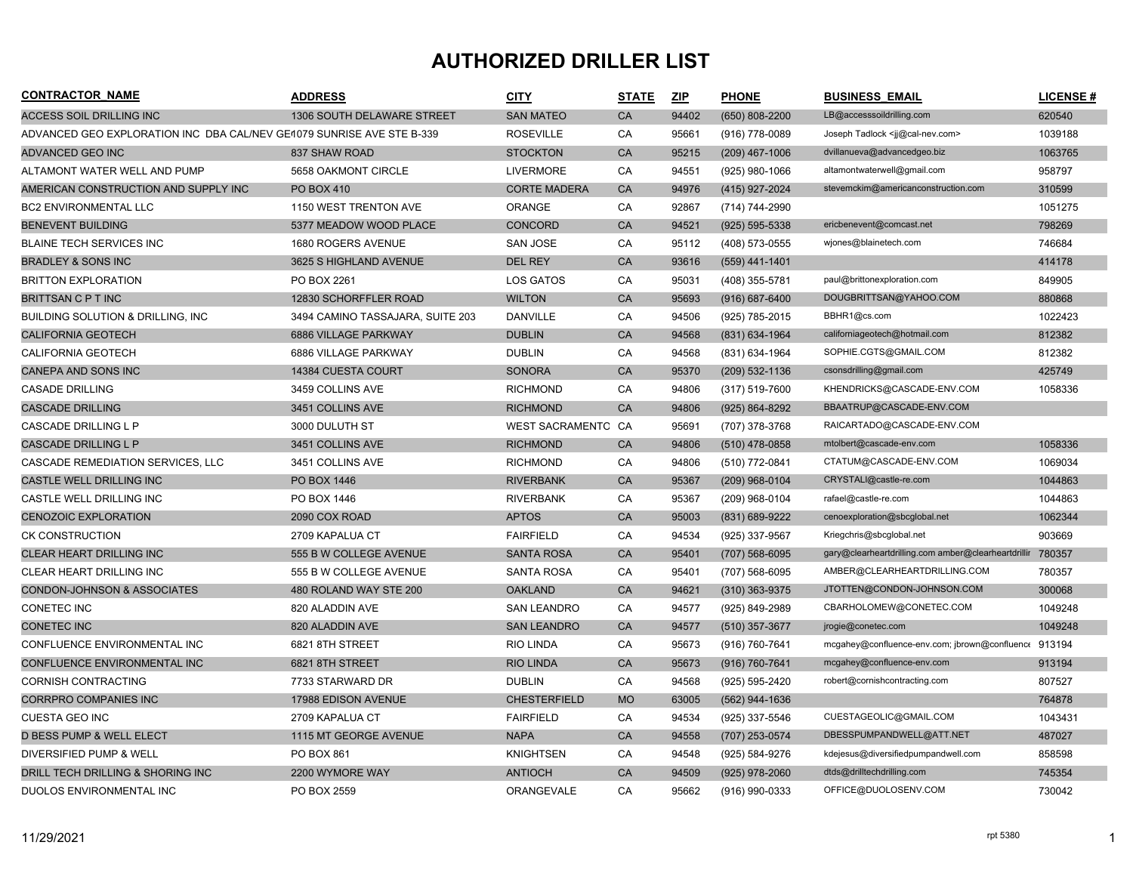## **AUTHORIZED DRILLER LIST**

| <b>CONTRACTOR NAME</b>                                                | <b>ADDRESS</b>                   | <u>CITY</u>         | <b>STATE</b> | ZIP   | <b>PHONE</b>       | <b>BUSINESS EMAIL</b>                                | <b>LICENSE#</b> |
|-----------------------------------------------------------------------|----------------------------------|---------------------|--------------|-------|--------------------|------------------------------------------------------|-----------------|
| <b>ACCESS SOIL DRILLING INC</b>                                       | 1306 SOUTH DELAWARE STREET       | <b>SAN MATEO</b>    | CA           | 94402 | $(650)$ 808-2200   | LB@accesssoildrilling.com                            | 620540          |
| ADVANCED GEO EXPLORATION INC DBA CAL/NEV GE1079 SUNRISE AVE STE B-339 |                                  | <b>ROSEVILLE</b>    | CA           | 95661 | (916) 778-0089     | Joseph Tadlock <ij@cal-nev.com></ij@cal-nev.com>     | 1039188         |
| <b>ADVANCED GEO INC</b>                                               | 837 SHAW ROAD                    | <b>STOCKTON</b>     | CA           | 95215 | $(209)$ 467-1006   | dvillanueva@advancedgeo.biz                          | 1063765         |
| ALTAMONT WATER WELL AND PUMP                                          | 5658 OAKMONT CIRCLE              | <b>LIVERMORE</b>    | CA           | 94551 | (925) 980-1066     | altamontwaterwell@gmail.com                          | 958797          |
| AMERICAN CONSTRUCTION AND SUPPLY INC                                  | PO BOX 410                       | <b>CORTE MADERA</b> | CA           | 94976 | (415) 927-2024     | stevemckim@americanconstruction.com                  | 310599          |
| <b>BC2 ENVIRONMENTAL LLC</b>                                          | 1150 WEST TRENTON AVE            | <b>ORANGE</b>       | CA           | 92867 | (714) 744-2990     |                                                      | 1051275         |
| <b>BENEVENT BUILDING</b>                                              | 5377 MEADOW WOOD PLACE           | CONCORD             | CA           | 94521 | (925) 595-5338     | ericbenevent@comcast.net                             | 798269          |
| <b>BLAINE TECH SERVICES INC</b>                                       | 1680 ROGERS AVENUE               | SAN JOSE            | CA           | 95112 | (408) 573-0555     | wjones@blainetech.com                                | 746684          |
| <b>BRADLEY &amp; SONS INC</b>                                         | 3625 S HIGHLAND AVENUE           | DEL REY             | CA           | 93616 | $(559)$ 441-1401   |                                                      | 414178          |
| <b>BRITTON EXPLORATION</b>                                            | PO BOX 2261                      | LOS GATOS           | CA           | 95031 | (408) 355-5781     | paul@brittonexploration.com                          | 849905          |
| <b>BRITTSAN C P T INC</b>                                             | 12830 SCHORFFLER ROAD            | <b>WILTON</b>       | CA           | 95693 | $(916) 687 - 6400$ | DOUGBRITTSAN@YAHOO.COM                               | 880868          |
| <b>BUILDING SOLUTION &amp; DRILLING, INC</b>                          | 3494 CAMINO TASSAJARA, SUITE 203 | <b>DANVILLE</b>     | CA           | 94506 | (925) 785-2015     | BBHR1@cs.com                                         | 1022423         |
| <b>CALIFORNIA GEOTECH</b>                                             | 6886 VILLAGE PARKWAY             | <b>DUBLIN</b>       | CA           | 94568 | (831) 634-1964     | californiageotech@hotmail.com                        | 812382          |
| <b>CALIFORNIA GEOTECH</b>                                             | 6886 VILLAGE PARKWAY             | <b>DUBLIN</b>       | CA           | 94568 | (831) 634-1964     | SOPHIE.CGTS@GMAIL.COM                                | 812382          |
| <b>CANEPA AND SONS INC</b>                                            | 14384 CUESTA COURT               | <b>SONORA</b>       | CA           | 95370 | $(209)$ 532-1136   | csonsdrilling@gmail.com                              | 425749          |
| <b>CASADE DRILLING</b>                                                | 3459 COLLINS AVE                 | <b>RICHMOND</b>     | CA           | 94806 | (317) 519-7600     | KHENDRICKS@CASCADE-ENV.COM                           | 1058336         |
| <b>CASCADE DRILLING</b>                                               | 3451 COLLINS AVE                 | <b>RICHMOND</b>     | CA           | 94806 | (925) 864-8292     | BBAATRUP@CASCADE-ENV.COM                             |                 |
| CASCADE DRILLING L P                                                  | 3000 DULUTH ST                   | WEST SACRAMENTC CA  |              | 95691 | (707) 378-3768     | RAICARTADO@CASCADE-ENV.COM                           |                 |
| <b>CASCADE DRILLING L P</b>                                           | 3451 COLLINS AVE                 | <b>RICHMOND</b>     | CA           | 94806 | $(510)$ 478-0858   | mtolbert@cascade-env.com                             | 1058336         |
| CASCADE REMEDIATION SERVICES, LLC                                     | 3451 COLLINS AVE                 | <b>RICHMOND</b>     | CA           | 94806 | (510) 772-0841     | CTATUM@CASCADE-ENV.COM                               | 1069034         |
| CASTLE WELL DRILLING INC                                              | PO BOX 1446                      | <b>RIVERBANK</b>    | CA           | 95367 | $(209)$ 968-0104   | CRYSTALI@castle-re.com                               | 1044863         |
| CASTLE WELL DRILLING INC                                              | PO BOX 1446                      | <b>RIVERBANK</b>    | CA           | 95367 | (209) 968-0104     | rafael@castle-re.com                                 | 1044863         |
| <b>CENOZOIC EXPLORATION</b>                                           | 2090 COX ROAD                    | <b>APTOS</b>        | CA           | 95003 | (831) 689-9222     | cenoexploration@sbcglobal.net                        | 1062344         |
| <b>CK CONSTRUCTION</b>                                                | 2709 KAPALUA CT                  | <b>FAIRFIELD</b>    | CA           | 94534 | (925) 337-9567     | Kriegchris@sbcglobal.net                             | 903669          |
| <b>CLEAR HEART DRILLING INC</b>                                       | 555 B W COLLEGE AVENUE           | <b>SANTA ROSA</b>   | CA           | 95401 | $(707)$ 568-6095   | gary@clearheartdrilling.com amber@clearheartdrillir  | 780357          |
| CLEAR HEART DRILLING INC                                              | 555 B W COLLEGE AVENUE           | <b>SANTA ROSA</b>   | CA           | 95401 | (707) 568-6095     | AMBER@CLEARHEARTDRILLING.COM                         | 780357          |
| <b>CONDON-JOHNSON &amp; ASSOCIATES</b>                                | 480 ROLAND WAY STE 200           | <b>OAKLAND</b>      | CA           | 94621 | $(310)$ 363-9375   | JTOTTEN@CONDON-JOHNSON.COM                           | 300068          |
| CONETEC INC                                                           | 820 ALADDIN AVE                  | <b>SAN LEANDRO</b>  | CA           | 94577 | (925) 849-2989     | CBARHOLOMEW@CONETEC.COM                              | 1049248         |
| <b>CONETEC INC</b>                                                    | 820 ALADDIN AVE                  | <b>SAN LEANDRO</b>  | CA           | 94577 | (510) 357-3677     | jrogie@conetec.com                                   | 1049248         |
| CONFLUENCE ENVIRONMENTAL INC                                          | 6821 8TH STREET                  | <b>RIO LINDA</b>    | CA           | 95673 | (916) 760-7641     | mcgahey@confluence-env.com; jbrown@confluence 913194 |                 |
| CONFLUENCE ENVIRONMENTAL INC                                          | 6821 8TH STREET                  | <b>RIO LINDA</b>    | CA           | 95673 | (916) 760-7641     | mcgahey@confluence-env.com                           | 913194          |
| <b>CORNISH CONTRACTING</b>                                            | 7733 STARWARD DR                 | <b>DUBLIN</b>       | CA           | 94568 | (925) 595-2420     | robert@cornishcontracting.com                        | 807527          |
| <b>CORRPRO COMPANIES INC</b>                                          | 17988 EDISON AVENUE              | <b>CHESTERFIELD</b> | <b>MO</b>    | 63005 | (562) 944-1636     |                                                      | 764878          |
| <b>CUESTA GEO INC</b>                                                 | 2709 KAPALUA CT                  | <b>FAIRFIELD</b>    | CA           | 94534 | (925) 337-5546     | CUESTAGEOLIC@GMAIL.COM                               | 1043431         |
| <b>D BESS PUMP &amp; WELL ELECT</b>                                   | 1115 MT GEORGE AVENUE            | <b>NAPA</b>         | CA           | 94558 | (707) 253-0574     | DBESSPUMPANDWELL@ATT.NET                             | 487027          |
| DIVERSIFIED PUMP & WELL                                               | <b>PO BOX 861</b>                | <b>KNIGHTSEN</b>    | CA           | 94548 | (925) 584-9276     | kdejesus@diversifiedpumpandwell.com                  | 858598          |
| DRILL TECH DRILLING & SHORING INC                                     | 2200 WYMORE WAY                  | <b>ANTIOCH</b>      | CA           | 94509 | $(925)$ 978-2060   | dtds@drilltechdrilling.com                           | 745354          |
| DUOLOS ENVIRONMENTAL INC                                              | PO BOX 2559                      | ORANGEVALE          | CA           | 95662 | (916) 990-0333     | OFFICE@DUOLOSENV.COM                                 | 730042          |

1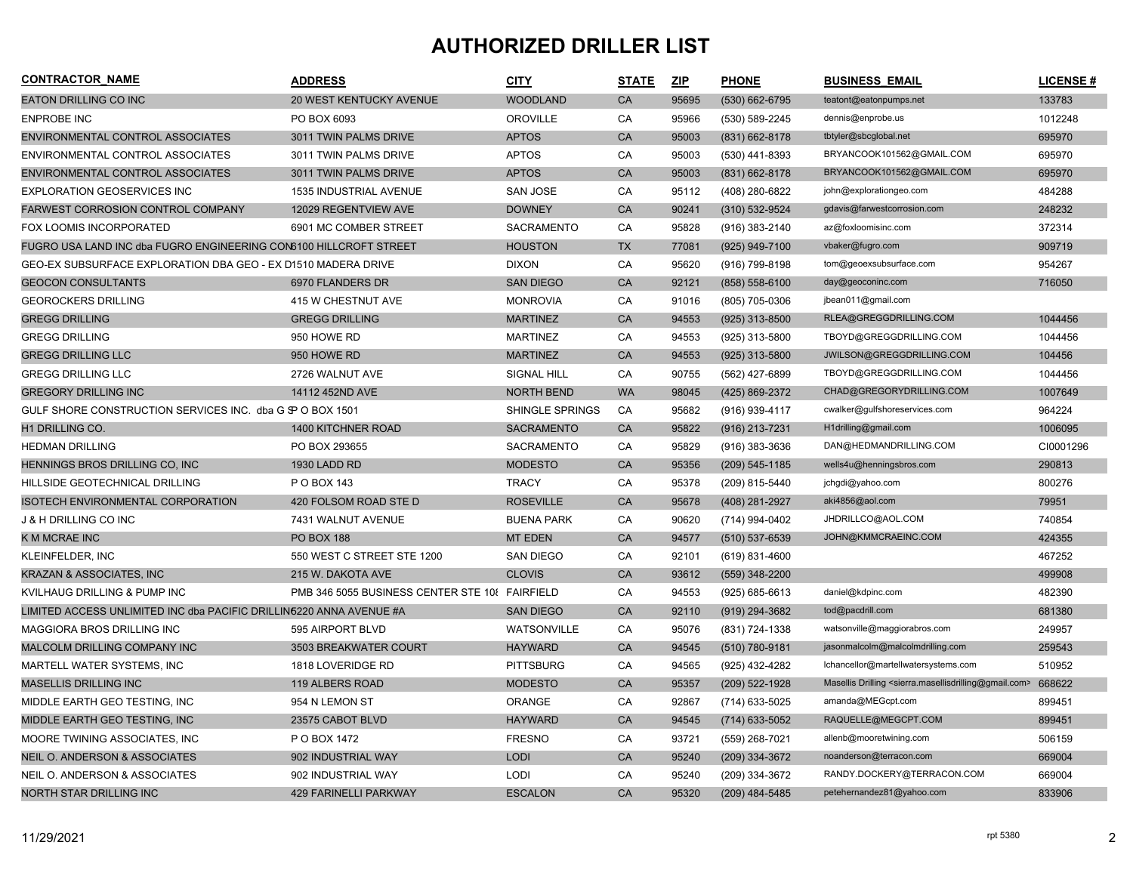## **AUTHORIZED DRILLER LIST**

| <b>CONTRACTOR NAME</b>                                              | <b>ADDRESS</b>                                 | <b>CITY</b>            | <b>STATE</b> | ZIP   | <b>PHONE</b>       | <b>BUSINESS EMAIL</b>                                                                     | <b>LICENSE#</b> |
|---------------------------------------------------------------------|------------------------------------------------|------------------------|--------------|-------|--------------------|-------------------------------------------------------------------------------------------|-----------------|
| <b>EATON DRILLING CO INC</b>                                        | 20 WEST KENTUCKY AVENUE                        | <b>WOODLAND</b>        | CA           | 95695 | (530) 662-6795     | teatont@eatonpumps.net                                                                    | 133783          |
| <b>ENPROBE INC</b>                                                  | PO BOX 6093                                    | <b>OROVILLE</b>        | CA           | 95966 | (530) 589-2245     | dennis@enprobe.us                                                                         | 1012248         |
| ENVIRONMENTAL CONTROL ASSOCIATES                                    | 3011 TWIN PALMS DRIVE                          | <b>APTOS</b>           | CA           | 95003 | (831) 662-8178     | tbtyler@sbcglobal.net                                                                     | 695970          |
| ENVIRONMENTAL CONTROL ASSOCIATES                                    | 3011 TWIN PALMS DRIVE                          | <b>APTOS</b>           | CA           | 95003 | (530) 441-8393     | BRYANCOOK101562@GMAIL.COM                                                                 | 695970          |
| ENVIRONMENTAL CONTROL ASSOCIATES                                    | 3011 TWIN PALMS DRIVE                          | <b>APTOS</b>           | CA           | 95003 | (831) 662-8178     | BRYANCOOK101562@GMAIL.COM                                                                 | 695970          |
| <b>EXPLORATION GEOSERVICES INC</b>                                  | 1535 INDUSTRIAL AVENUE                         | <b>SAN JOSE</b>        | CA           | 95112 | (408) 280-6822     | john@explorationgeo.com                                                                   | 484288          |
| <b>FARWEST CORROSION CONTROL COMPANY</b>                            | 12029 REGENTVIEW AVE                           | <b>DOWNEY</b>          | CA           | 90241 | (310) 532-9524     | gdavis@farwestcorrosion.com                                                               | 248232          |
| FOX LOOMIS INCORPORATED                                             | 6901 MC COMBER STREET                          | SACRAMENTO             | CA           | 95828 | (916) 383-2140     | az@foxloomisinc.com                                                                       | 372314          |
| FUGRO USA LAND INC dba FUGRO ENGINEERING CON6100 HILLCROFT STREET   |                                                | <b>HOUSTON</b>         | <b>TX</b>    | 77081 | (925) 949-7100     | vbaker@fugro.com                                                                          | 909719          |
| GEO-EX SUBSURFACE EXPLORATION DBA GEO - EX D1510 MADERA DRIVE       |                                                | <b>DIXON</b>           | CA           | 95620 | (916) 799-8198     | tom@geoexsubsurface.com                                                                   | 954267          |
| <b>GEOCON CONSULTANTS</b>                                           | 6970 FLANDERS DR                               | <b>SAN DIEGO</b>       | CA           | 92121 | $(858) 558 - 6100$ | day@geoconinc.com                                                                         | 716050          |
| <b>GEOROCKERS DRILLING</b>                                          | 415 W CHESTNUT AVE                             | <b>MONROVIA</b>        | CA           | 91016 | (805) 705-0306     | jbean011@gmail.com                                                                        |                 |
| <b>GREGG DRILLING</b>                                               | <b>GREGG DRILLING</b>                          | <b>MARTINEZ</b>        | CA           | 94553 | $(925)$ 313-8500   | RLEA@GREGGDRILLING.COM                                                                    | 1044456         |
| <b>GREGG DRILLING</b>                                               | 950 HOWE RD                                    | <b>MARTINEZ</b>        | CA           | 94553 | (925) 313-5800     | TBOYD@GREGGDRILLING.COM                                                                   | 1044456         |
| <b>GREGG DRILLING LLC</b>                                           | 950 HOWE RD                                    | <b>MARTINEZ</b>        | CA           | 94553 | (925) 313-5800     | JWILSON@GREGGDRILLING.COM                                                                 | 104456          |
| <b>GREGG DRILLING LLC</b>                                           | 2726 WALNUT AVE                                | <b>SIGNAL HILL</b>     | CA           | 90755 | (562) 427-6899     | TBOYD@GREGGDRILLING.COM                                                                   | 1044456         |
| <b>GREGORY DRILLING INC</b>                                         | 14112 452ND AVE                                | <b>NORTH BEND</b>      | <b>WA</b>    | 98045 | (425) 869-2372     | CHAD@GREGORYDRILLING.COM                                                                  | 1007649         |
| GULF SHORE CONSTRUCTION SERVICES INC. dba G \$P O BOX 1501          |                                                | <b>SHINGLE SPRINGS</b> | CA           | 95682 | (916) 939-4117     | cwalker@gulfshoreservices.com                                                             | 964224          |
| H1 DRILLING CO.                                                     | 1400 KITCHNER ROAD                             | <b>SACRAMENTO</b>      | <b>CA</b>    | 95822 | (916) 213-7231     | H1drilling@gmail.com                                                                      | 1006095         |
| <b>HEDMAN DRILLING</b>                                              | PO BOX 293655                                  | <b>SACRAMENTO</b>      | CA           | 95829 | $(916)$ 383-3636   | DAN@HEDMANDRILLING.COM                                                                    | CI0001296       |
| HENNINGS BROS DRILLING CO, INC                                      | 1930 LADD RD                                   | <b>MODESTO</b>         | CA           | 95356 | $(209)$ 545-1185   | wells4u@henningsbros.com                                                                  | 290813          |
| HILLSIDE GEOTECHNICAL DRILLING                                      | P O BOX 143                                    | <b>TRACY</b>           | CA           | 95378 | (209) 815-5440     | jchgdi@yahoo.com                                                                          | 800276          |
| <b>ISOTECH ENVIRONMENTAL CORPORATION</b>                            | 420 FOLSOM ROAD STE D                          | <b>ROSEVILLE</b>       | CA           | 95678 | (408) 281-2927     | aki4856@aol.com                                                                           | 79951           |
| <b>J &amp; H DRILLING CO INC</b>                                    | 7431 WALNUT AVENUE                             | <b>BUENA PARK</b>      | CA           | 90620 | (714) 994-0402     | JHDRILLCO@AOL.COM                                                                         | 740854          |
| K M MCRAE INC                                                       | <b>PO BOX 188</b>                              | <b>MT EDEN</b>         | CA           | 94577 | (510) 537-6539     | JOHN@KMMCRAEINC.COM                                                                       | 424355          |
| KLEINFELDER, INC                                                    | 550 WEST C STREET STE 1200                     | <b>SAN DIEGO</b>       | CA           | 92101 | (619) 831-4600     |                                                                                           | 467252          |
| <b>KRAZAN &amp; ASSOCIATES, INC</b>                                 | 215 W. DAKOTA AVE                              | <b>CLOVIS</b>          | CA           | 93612 | (559) 348-2200     |                                                                                           | 499908          |
| KVILHAUG DRILLING & PUMP INC                                        | PMB 346 5055 BUSINESS CENTER STE 108 FAIRFIELD |                        | CA           | 94553 | $(925) 685 - 6613$ | daniel@kdpinc.com                                                                         | 482390          |
| LIMITED ACCESS UNLIMITED INC dba PACIFIC DRILLIN5220 ANNA AVENUE #A |                                                | <b>SAN DIEGO</b>       | CA           | 92110 | (919) 294-3682     | tod@pacdrill.com                                                                          | 681380          |
| MAGGIORA BROS DRILLING INC                                          | 595 AIRPORT BLVD                               | <b>WATSONVILLE</b>     | CA           | 95076 | (831) 724-1338     | watsonville@maggiorabros.com                                                              | 249957          |
| MALCOLM DRILLING COMPANY INC                                        | 3503 BREAKWATER COURT                          | <b>HAYWARD</b>         | CA           | 94545 | (510) 780-9181     | jasonmalcolm@malcolmdrilling.com                                                          | 259543          |
| MARTELL WATER SYSTEMS, INC                                          | 1818 LOVERIDGE RD                              | <b>PITTSBURG</b>       | CA           | 94565 | (925) 432-4282     | lchancellor@martellwatersystems.com                                                       | 510952          |
| <b>MASELLIS DRILLING INC</b>                                        | 119 ALBERS ROAD                                | <b>MODESTO</b>         | CA           | 95357 | (209) 522-1928     | Masellis Drilling <sierra.masellisdrilling@gmail.com></sierra.masellisdrilling@gmail.com> | 668622          |
| MIDDLE EARTH GEO TESTING, INC.                                      | 954 N LEMON ST                                 | <b>ORANGE</b>          | CA           | 92867 | (714) 633-5025     | amanda@MEGcpt.com                                                                         | 899451          |
| MIDDLE EARTH GEO TESTING, INC                                       | 23575 CABOT BLVD                               | <b>HAYWARD</b>         | CA           | 94545 | $(714)$ 633-5052   | RAQUELLE@MEGCPT.COM                                                                       | 899451          |
| MOORE TWINING ASSOCIATES, INC.                                      | P O BOX 1472                                   | <b>FRESNO</b>          | CA           | 93721 | (559) 268-7021     | allenb@mooretwining.com                                                                   | 506159          |
| <b>NEIL O. ANDERSON &amp; ASSOCIATES</b>                            | 902 INDUSTRIAL WAY                             | <b>LODI</b>            | CA           | 95240 | (209) 334-3672     | noanderson@terracon.com                                                                   | 669004          |
| NEIL O. ANDERSON & ASSOCIATES                                       | 902 INDUSTRIAL WAY                             | <b>LODI</b>            | CA           | 95240 | (209) 334-3672     | RANDY.DOCKERY@TERRACON.COM                                                                | 669004          |
| <b>NORTH STAR DRILLING INC</b>                                      | <b>429 FARINELLI PARKWAY</b>                   | <b>ESCALON</b>         | CA           | 95320 | (209) 484-5485     | petehernandez81@yahoo.com                                                                 | 833906          |